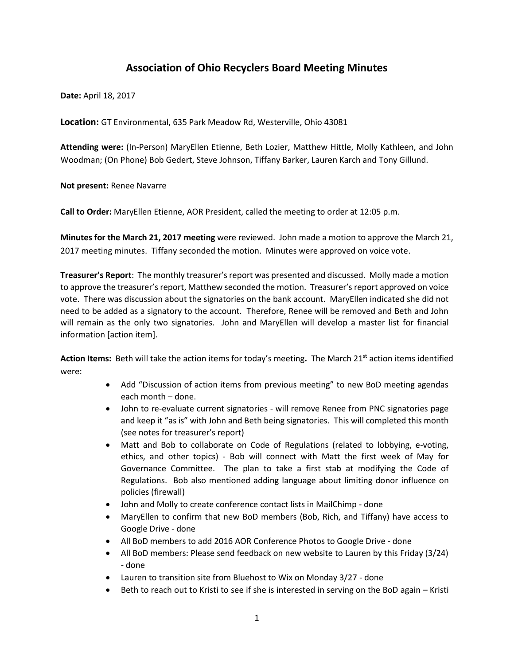# **Association of Ohio Recyclers Board Meeting Minutes**

**Date:** April 18, 2017

**Location:** GT Environmental, 635 Park Meadow Rd, Westerville, Ohio 43081

**Attending were:** (In-Person) MaryEllen Etienne, Beth Lozier, Matthew Hittle, Molly Kathleen, and John Woodman; (On Phone) Bob Gedert, Steve Johnson, Tiffany Barker, Lauren Karch and Tony Gillund.

**Not present:** Renee Navarre

**Call to Order:** MaryEllen Etienne, AOR President, called the meeting to order at 12:05 p.m.

**Minutes for the March 21, 2017 meeting** were reviewed. John made a motion to approve the March 21, 2017 meeting minutes. Tiffany seconded the motion. Minutes were approved on voice vote.

**Treasurer's Report**: The monthly treasurer's report was presented and discussed. Molly made a motion to approve the treasurer's report, Matthew seconded the motion. Treasurer's report approved on voice vote. There was discussion about the signatories on the bank account. MaryEllen indicated she did not need to be added as a signatory to the account. Therefore, Renee will be removed and Beth and John will remain as the only two signatories. John and MaryEllen will develop a master list for financial information [action item].

**Action Items:** Beth will take the action items for today's meeting**.** The March 21st action items identified were:

- Add "Discussion of action items from previous meeting" to new BoD meeting agendas each month – done.
- John to re-evaluate current signatories will remove Renee from PNC signatories page and keep it "as is" with John and Beth being signatories. This will completed this month (see notes for treasurer's report)
- Matt and Bob to collaborate on Code of Regulations (related to lobbying, e-voting, ethics, and other topics) - Bob will connect with Matt the first week of May for Governance Committee. The plan to take a first stab at modifying the Code of Regulations. Bob also mentioned adding language about limiting donor influence on policies (firewall)
- John and Molly to create conference contact lists in MailChimp done
- MaryEllen to confirm that new BoD members (Bob, Rich, and Tiffany) have access to Google Drive - done
- All BoD members to add 2016 AOR Conference Photos to Google Drive done
- All BoD members: Please send feedback on new website to Lauren by this Friday (3/24) - done
- Lauren to transition site from Bluehost to Wix on Monday 3/27 done
- Beth to reach out to Kristi to see if she is interested in serving on the BoD again Kristi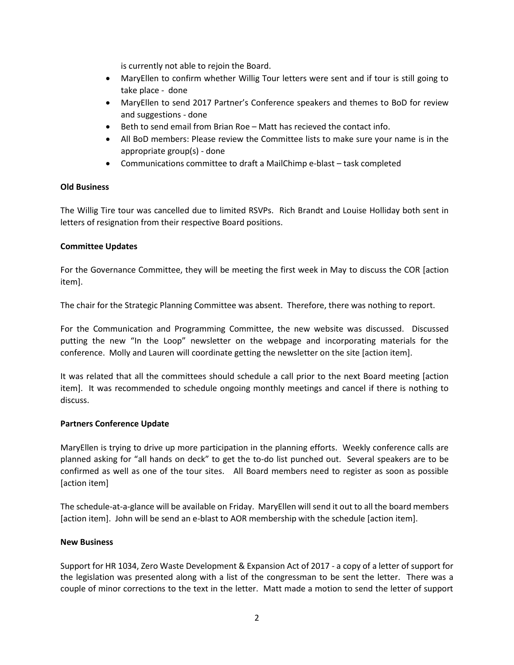is currently not able to rejoin the Board.

- MaryEllen to confirm whether Willig Tour letters were sent and if tour is still going to take place - done
- MaryEllen to send 2017 Partner's Conference speakers and themes to BoD for review and suggestions - done
- Beth to send email from Brian Roe Matt has recieved the contact info.
- All BoD members: Please review the Committee lists to make sure your name is in the appropriate group(s) - done
- Communications committee to draft a MailChimp e-blast task completed

# **Old Business**

The Willig Tire tour was cancelled due to limited RSVPs. Rich Brandt and Louise Holliday both sent in letters of resignation from their respective Board positions.

# **Committee Updates**

For the Governance Committee, they will be meeting the first week in May to discuss the COR [action item].

The chair for the Strategic Planning Committee was absent. Therefore, there was nothing to report.

For the Communication and Programming Committee, the new website was discussed. Discussed putting the new "In the Loop" newsletter on the webpage and incorporating materials for the conference. Molly and Lauren will coordinate getting the newsletter on the site [action item].

It was related that all the committees should schedule a call prior to the next Board meeting [action item]. It was recommended to schedule ongoing monthly meetings and cancel if there is nothing to discuss.

# **Partners Conference Update**

MaryEllen is trying to drive up more participation in the planning efforts. Weekly conference calls are planned asking for "all hands on deck" to get the to-do list punched out. Several speakers are to be confirmed as well as one of the tour sites. All Board members need to register as soon as possible [action item]

The schedule-at-a-glance will be available on Friday. MaryEllen will send it out to all the board members [action item]. John will be send an e-blast to AOR membership with the schedule [action item].

# **New Business**

Support for HR 1034, Zero Waste Development & Expansion Act of 2017 - a copy of a letter of support for the legislation was presented along with a list of the congressman to be sent the letter. There was a couple of minor corrections to the text in the letter. Matt made a motion to send the letter of support